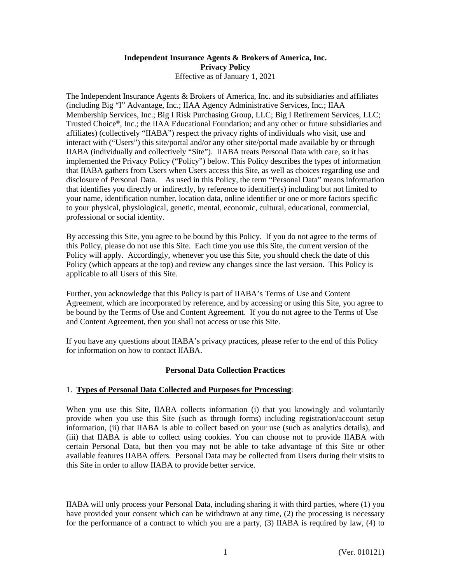### **Independent Insurance Agents & Brokers of America, Inc. Privacy Policy**  Effective as of January 1, 2021

The Independent Insurance Agents & Brokers of America, Inc. and its subsidiaries and affiliates (including Big "I" Advantage, Inc.; IIAA Agency Administrative Services, Inc.; IIAA Membership Services, Inc.; Big I Risk Purchasing Group, LLC; Big I Retirement Services, LLC; Trusted Choice®, Inc.; the IIAA Educational Foundation; and any other or future subsidiaries and affiliates) (collectively "IIABA") respect the privacy rights of individuals who visit, use and interact with ("Users") this site/portal and/or any other site/portal made available by or through IIABA (individually and collectively "Site"). IIABA treats Personal Data with care, so it has implemented the Privacy Policy ("Policy") below. This Policy describes the types of information that IIABA gathers from Users when Users access this Site, as well as choices regarding use and disclosure of Personal Data. As used in this Policy, the term "Personal Data" means information that identifies you directly or indirectly, by reference to identifier(s) including but not limited to your name, identification number, location data, online identifier or one or more factors specific to your physical, physiological, genetic, mental, economic, cultural, educational, commercial, professional or social identity.

By accessing this Site, you agree to be bound by this Policy. If you do not agree to the terms of this Policy, please do not use this Site. Each time you use this Site, the current version of the Policy will apply. Accordingly, whenever you use this Site, you should check the date of this Policy (which appears at the top) and review any changes since the last version. This Policy is applicable to all Users of this Site.

Further, you acknowledge that this Policy is part of IIABA's Terms of Use and Content Agreement, which are incorporated by reference, and by accessing or using this Site, you agree to be bound by the Terms of Use and Content Agreement. If you do not agree to the Terms of Use and Content Agreement, then you shall not access or use this Site.

If you have any questions about IIABA's privacy practices, please refer to the end of this Policy for information on how to contact IIABA.

### **Personal Data Collection Practices**

### 1. **Types of Personal Data Collected and Purposes for Processing**:

When you use this Site, IIABA collects information (i) that you knowingly and voluntarily provide when you use this Site (such as through forms) including registration/account setup information, (ii) that IIABA is able to collect based on your use (such as analytics details), and (iii) that IIABA is able to collect using cookies. You can choose not to provide IIABA with certain Personal Data, but then you may not be able to take advantage of this Site or other available features IIABA offers. Personal Data may be collected from Users during their visits to this Site in order to allow IIABA to provide better service.

IIABA will only process your Personal Data, including sharing it with third parties, where (1) you have provided your consent which can be withdrawn at any time, (2) the processing is necessary for the performance of a contract to which you are a party, (3) IIABA is required by law, (4) to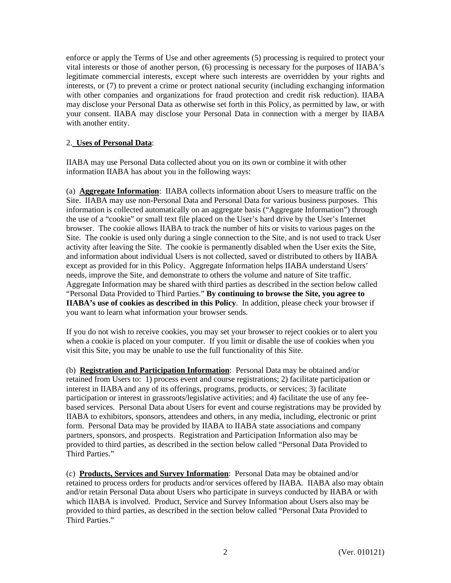enforce or apply the Terms of Use and other agreements (5) processing is required to protect your vital interests or those of another person, (6) processing is necessary for the purposes of IIABA's legitimate commercial interests, except where such interests are overridden by your rights and interests, or (7) to prevent a crime or protect national security (including exchanging information with other companies and organizations for fraud protection and credit risk reduction). IIABA may disclose your Personal Data as otherwise set forth in this Policy, as permitted by law, or with your consent. IIABA may disclose your Personal Data in connection with a merger by IIABA with another entity.

## 2. **Uses of Personal Data**:

IIABA may use Personal Data collected about you on its own or combine it with other information IIABA has about you in the following ways:

(a) **Aggregate Information**: IIABA collects information about Users to measure traffic on the Site. IIABA may use non-Personal Data and Personal Data for various business purposes. This information is collected automatically on an aggregate basis ("Aggregate Information") through the use of a "cookie" or small text file placed on the User's hard drive by the User's Internet browser. The cookie allows IIABA to track the number of hits or visits to various pages on the Site. The cookie is used only during a single connection to the Site, and is not used to track User activity after leaving the Site. The cookie is permanently disabled when the User exits the Site, and information about individual Users is not collected, saved or distributed to others by IIABA except as provided for in this Policy. Aggregate Information helps IIABA understand Users' needs, improve the Site, and demonstrate to others the volume and nature of Site traffic. Aggregate Information may be shared with third parties as described in the section below called "Personal Data Provided to Third Parties." **By continuing to browse the Site, you agree to IIABA's use of cookies as described in this Policy**. In addition, please check your browser if you want to learn what information your browser sends.

If you do not wish to receive cookies, you may set your browser to reject cookies or to alert you when a cookie is placed on your computer. If you limit or disable the use of cookies when you visit this Site, you may be unable to use the full functionality of this Site.

(b) **Registration and Participation Information**: Personal Data may be obtained and/or retained from Users to: 1) process event and course registrations; 2) facilitate participation or interest in IIABA and any of its offerings, programs, products, or services; 3) facilitate participation or interest in grassroots/legislative activities; and 4) facilitate the use of any feebased services. Personal Data about Users for event and course registrations may be provided by IIABA to exhibitors, sponsors, attendees and others, in any media, including, electronic or print form. Personal Data may be provided by IIABA to IIABA state associations and company partners, sponsors, and prospects. Registration and Participation Information also may be provided to third parties, as described in the section below called "Personal Data Provided to Third Parties."

(c) **Products, Services and Survey Information**: Personal Data may be obtained and/or retained to process orders for products and/or services offered by IIABA. IIABA also may obtain and/or retain Personal Data about Users who participate in surveys conducted by IIABA or with which IIABA is involved. Product, Service and Survey Information about Users also may be provided to third parties, as described in the section below called "Personal Data Provided to Third Parties."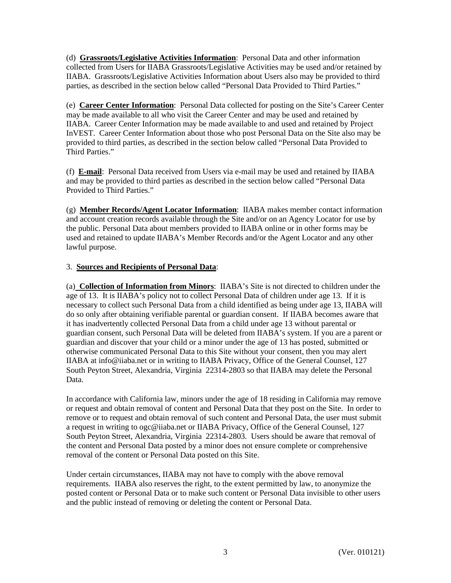(d) **Grassroots/Legislative Activities Information**: Personal Data and other information collected from Users for IIABA Grassroots/Legislative Activities may be used and/or retained by IIABA. Grassroots/Legislative Activities Information about Users also may be provided to third parties, as described in the section below called "Personal Data Provided to Third Parties."

(e) **Career Center Information**: Personal Data collected for posting on the Site's Career Center may be made available to all who visit the Career Center and may be used and retained by IIABA. Career Center Information may be made available to and used and retained by Project InVEST. Career Center Information about those who post Personal Data on the Site also may be provided to third parties, as described in the section below called "Personal Data Provided to Third Parties."

(f) **E-mail**: Personal Data received from Users via e-mail may be used and retained by IIABA and may be provided to third parties as described in the section below called "Personal Data Provided to Third Parties."

(g) **Member Records/Agent Locator Information**: IIABA makes member contact information and account creation records available through the Site and/or on an Agency Locator for use by the public. Personal Data about members provided to IIABA online or in other forms may be used and retained to update IIABA's Member Records and/or the Agent Locator and any other lawful purpose.

## 3. **Sources and Recipients of Personal Data**:

(a) **Collection of Information from Minors**: IIABA's Site is not directed to children under the age of 13. It is IIABA's policy not to collect Personal Data of children under age 13. If it is necessary to collect such Personal Data from a child identified as being under age 13, IIABA will do so only after obtaining verifiable parental or guardian consent. If IIABA becomes aware that it has inadvertently collected Personal Data from a child under age 13 without parental or guardian consent, such Personal Data will be deleted from IIABA's system. If you are a parent or guardian and discover that your child or a minor under the age of 13 has posted, submitted or otherwise communicated Personal Data to this Site without your consent, then you may alert IIABA at info@iiaba.net or in writing to IIABA Privacy, Office of the General Counsel, 127 South Peyton Street, Alexandria, Virginia 22314-2803 so that IIABA may delete the Personal Data.

In accordance with California law, minors under the age of 18 residing in California may remove or request and obtain removal of content and Personal Data that they post on the Site. In order to remove or to request and obtain removal of such content and Personal Data, the user must submit a request in writing to ogc@iiaba.net or IIABA Privacy, Office of the General Counsel, 127 South Peyton Street, Alexandria, Virginia 22314-2803. Users should be aware that removal of the content and Personal Data posted by a minor does not ensure complete or comprehensive removal of the content or Personal Data posted on this Site.

Under certain circumstances, IIABA may not have to comply with the above removal requirements. IIABA also reserves the right, to the extent permitted by law, to anonymize the posted content or Personal Data or to make such content or Personal Data invisible to other users and the public instead of removing or deleting the content or Personal Data.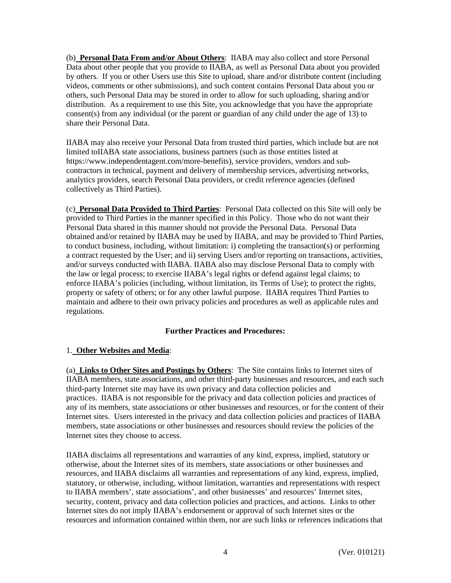(b) **Personal Data From and/or About Others**: IIABA may also collect and store Personal Data about other people that you provide to IIABA, as well as Personal Data about you provided by others. If you or other Users use this Site to upload, share and/or distribute content (including videos, comments or other submissions), and such content contains Personal Data about you or others, such Personal Data may be stored in order to allow for such uploading, sharing and/or distribution. As a requirement to use this Site, you acknowledge that you have the appropriate consent(s) from any individual (or the parent or guardian of any child under the age of 13) to share their Personal Data.

IIABA may also receive your Personal Data from trusted third parties, which include but are not limited toIIABA state associations, business partners (such as those entities listed at https://www.independentagent.com/more-benefits), service providers, vendors and subcontractors in technical, payment and delivery of membership services, advertising networks, analytics providers, search Personal Data providers, or credit reference agencies (defined collectively as Third Parties).

(c) **Personal Data Provided to Third Parties**:Personal Data collected on this Site will only be provided to Third Parties in the manner specified in this Policy. Those who do not want their Personal Data shared in this manner should not provide the Personal Data. Personal Data obtained and/or retained by IIABA may be used by IIABA, and may be provided to Third Parties, to conduct business, including, without limitation: i) completing the transaction(s) or performing a contract requested by the User; and ii) serving Users and/or reporting on transactions, activities, and/or surveys conducted with IIABA. IIABA also may disclose Personal Data to comply with the law or legal process; to exercise IIABA's legal rights or defend against legal claims; to enforce IIABA's policies (including, without limitation, its Terms of Use); to protect the rights, property or safety of others; or for any other lawful purpose. IIABA requires Third Parties to maintain and adhere to their own privacy policies and procedures as well as applicable rules and regulations.

# **Further Practices and Procedures:**

# 1. **Other Websites and Media**:

(a) **Links to Other Sites and Postings by Others**: The Site contains links to Internet sites of IIABA members, state associations, and other third-party businesses and resources, and each such third-party Internet site may have its own privacy and data collection policies and practices. IIABA is not responsible for the privacy and data collection policies and practices of any of its members, state associations or other businesses and resources, or for the content of their Internet sites. Users interested in the privacy and data collection policies and practices of IIABA members, state associations or other businesses and resources should review the policies of the Internet sites they choose to access.

IIABA disclaims all representations and warranties of any kind, express, implied, statutory or otherwise, about the Internet sites of its members, state associations or other businesses and resources, and IIABA disclaims all warranties and representations of any kind, express, implied, statutory, or otherwise, including, without limitation, warranties and representations with respect to IIABA members', state associations', and other businesses' and resources' Internet sites, security, content, privacy and data collection policies and practices, and actions. Links to other Internet sites do not imply IIABA's endorsement or approval of such Internet sites or the resources and information contained within them, nor are such links or references indications that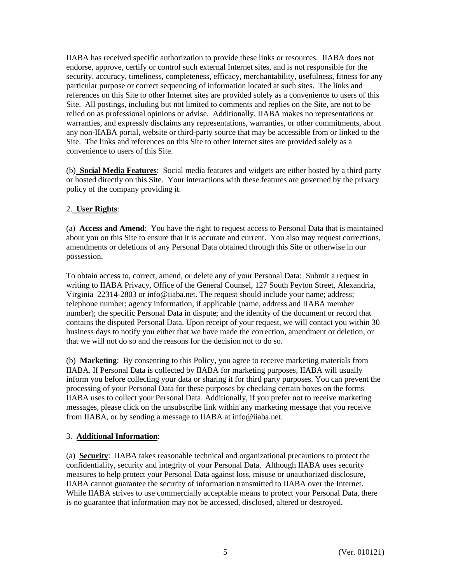IIABA has received specific authorization to provide these links or resources. IIABA does not endorse, approve, certify or control such external Internet sites, and is not responsible for the security, accuracy, timeliness, completeness, efficacy, merchantability, usefulness, fitness for any particular purpose or correct sequencing of information located at such sites. The links and references on this Site to other Internet sites are provided solely as a convenience to users of this Site. All postings, including but not limited to comments and replies on the Site, are not to be relied on as professional opinions or advise. Additionally, IIABA makes no representations or warranties, and expressly disclaims any representations, warranties, or other commitments, about any non-IIABA portal, website or third-party source that may be accessible from or linked to the Site. The links and references on this Site to other Internet sites are provided solely as a convenience to users of this Site.

(b) **Social Media Features**: Social media features and widgets are either hosted by a third party or hosted directly on this Site. Your interactions with these features are governed by the privacy policy of the company providing it.

## 2. **User Rights**:

(a) **Access and Amend**: You have the right to request access to Personal Data that is maintained about you on this Site to ensure that it is accurate and current. You also may request corrections, amendments or deletions of any Personal Data obtained through this Site or otherwise in our possession.

To obtain access to, correct, amend, or delete any of your Personal Data: Submit a request in writing to IIABA Privacy, Office of the General Counsel, 127 South Peyton Street, Alexandria, Virginia 22314-2803 or info@iiaba.net. The request should include your name; address; telephone number; agency information, if applicable (name, address and IIABA member number); the specific Personal Data in dispute; and the identity of the document or record that contains the disputed Personal Data. Upon receipt of your request, we will contact you within 30 business days to notify you either that we have made the correction, amendment or deletion, or that we will not do so and the reasons for the decision not to do so.

(b) **Marketing**: By consenting to this Policy, you agree to receive marketing materials from IIABA. If Personal Data is collected by IIABA for marketing purposes, IIABA will usually inform you before collecting your data or sharing it for third party purposes. You can prevent the processing of your Personal Data for these purposes by checking certain boxes on the forms IIABA uses to collect your Personal Data. Additionally, if you prefer not to receive marketing messages, please click on the unsubscribe link within any marketing message that you receive from IIABA, or by sending a message to IIABA at info@iiaba.net.

### 3. **Additional Information**:

(a) **Security**: IIABA takes reasonable technical and organizational precautions to protect the confidentiality, security and integrity of your Personal Data. Although IIABA uses security measures to help protect your Personal Data against loss, misuse or unauthorized disclosure, IIABA cannot guarantee the security of information transmitted to IIABA over the Internet. While IIABA strives to use commercially acceptable means to protect your Personal Data, there is no guarantee that information may not be accessed, disclosed, altered or destroyed.